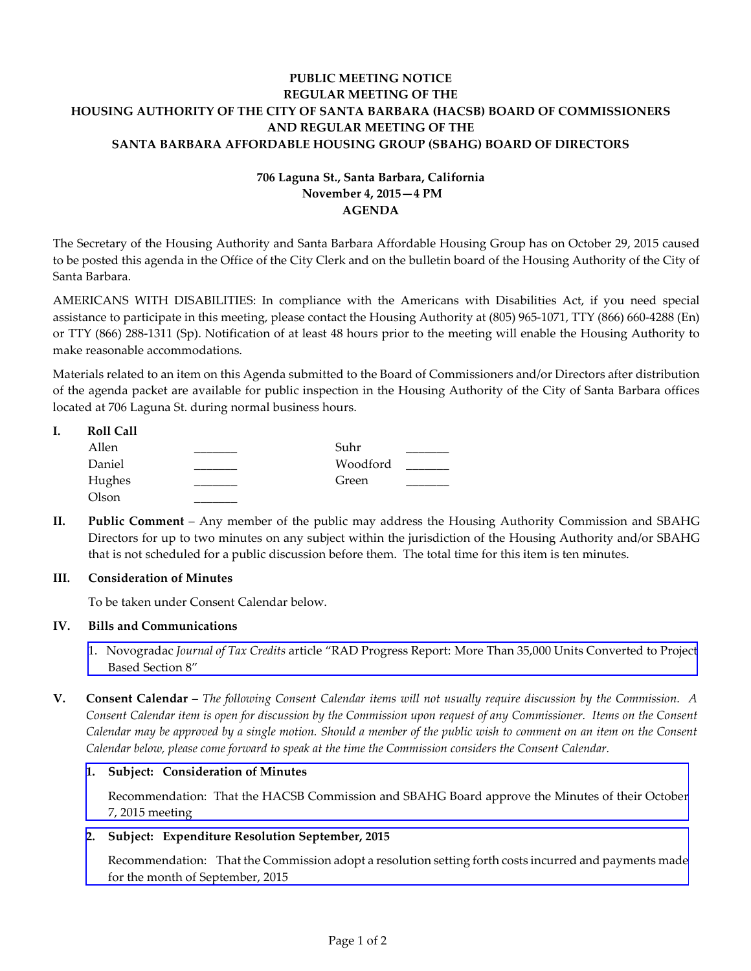# **PUBLIC MEETING NOTICE REGULAR MEETING OF THE HOUSING AUTHORITY OF THE CITY OF SANTA BARBARA (HACSB) BOARD OF COMMISSIONERS AND REGULAR MEETING OF THE SANTA BARBARA AFFORDABLE HOUSING GROUP (SBAHG) BOARD OF DIRECTORS**

# **706 Laguna St., Santa Barbara, California November 4, 2015—4 PM AGENDA**

The Secretary of the Housing Authority and Santa Barbara Affordable Housing Group has on October 29, 2015 caused to be posted this agenda in the Office of the City Clerk and on the bulletin board of the Housing Authority of the City of Santa Barbara.

AMERICANS WITH DISABILITIES: In compliance with the Americans with Disabilities Act, if you need special assistance to participate in this meeting, please contact the Housing Authority at (805) 965-1071, TTY (866) 660-4288 (En) or TTY (866) 288-1311 (Sp). Notification of at least 48 hours prior to the meeting will enable the Housing Authority to make reasonable accommodations.

Materials related to an item on this Agenda submitted to the Board of Commissioners and/or Directors after distribution of the agenda packet are available for public inspection in the Housing Authority of the City of Santa Barbara offices located at 706 Laguna St. during normal business hours.

| <b>Roll Call</b> |          |  |
|------------------|----------|--|
| Allen            | Suhr     |  |
| Daniel           | Woodford |  |
| Hughes           | Green    |  |
| Olson            |          |  |

**II. Public Comment** – Any member of the public may address the Housing Authority Commission and SBAHG Directors for up to two minutes on any subject within the jurisdiction of the Housing Authority and/or SBAHG that is not scheduled for a public discussion before them. The total time for this item is ten minutes.

### **III. Consideration of Minutes**

To be taken under Consent Calendar below.

#### **IV. Bills and Communications**

- 1. Novogradac *Journal of Tax Credits* [article "RAD Progress Report:](http://hacsb.org/download/meetings-2015/items/november/item_IV_I_2015_11_04.pdf) More Than 35,000 Units Converted to Project Based Section 8"
- **V. Consent Calendar** *The following Consent Calendar items will not usually require discussion by the Commission. A Consent Calendar item is open for discussion by the Commission upon request of any Commissioner. Items on the Consent Calendar may be approved by a single motion. Should a member of the public wish to comment on an item on the Consent Calendar below, please come forward to speak at the time the Commission considers the Consent Calendar.*

#### **1. Subject: Consideration of Minutes**

[Recommendation: That the HACSB Commission and SBAHG Board approve the Minutes of their October](http://hacsb.org/download/meetings-2015/items/november/item_V_I_2015_11_04.pdf) 7, 2015 meeting

### **2. Subject: Expenditure Resolution September, 2015**

[Recommendation: That the Commission adopt a resolution setting forth costs incurred and payments made](http://hacsb.org/download/meetings-2015/items/november/item_V_II_2015_11_04.pdf) for the month of September, 2015